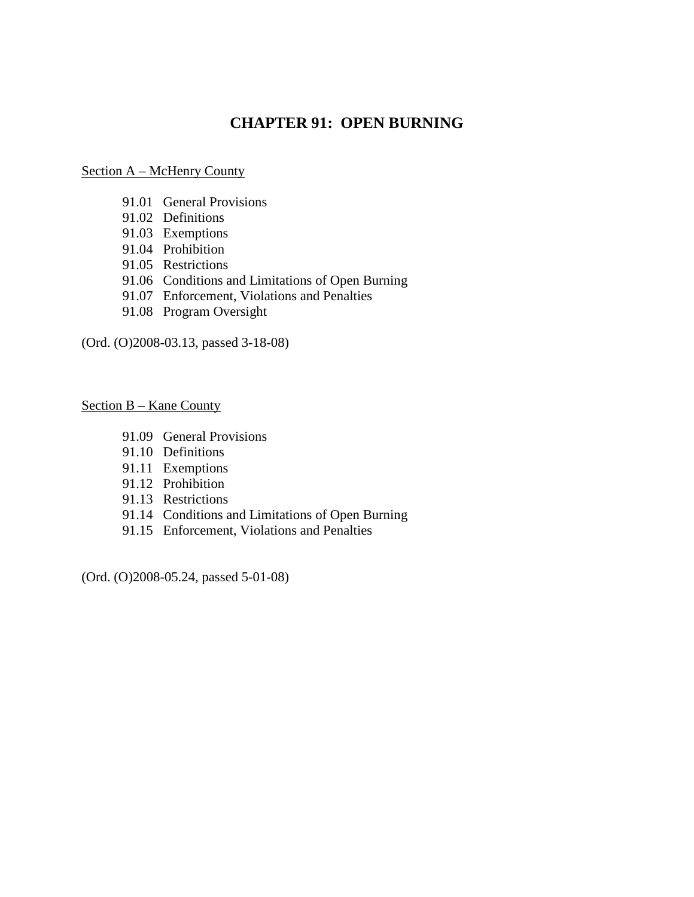# **CHAPTER 91: OPEN BURNING**

#### Section A – McHenry County

- 91.01 General Provisions
- 91.02 Definitions
- 91.03 Exemptions
- 91.04 Prohibition
- 91.05 Restrictions
- 91.06 Conditions and Limitations of Open Burning
- 91.07 Enforcement, Violations and Penalties
- 91.08 Program Oversight

(Ord. (O)2008-03.13, passed 3-18-08)

Section B – Kane County

- 91.09 General Provisions
- 91.10 Definitions
- 91.11 Exemptions
- 91.12 Prohibition
- 91.13 Restrictions
- 91.14 Conditions and Limitations of Open Burning
- 91.15 Enforcement, Violations and Penalties

(Ord. (O)2008-05.24, passed 5-01-08)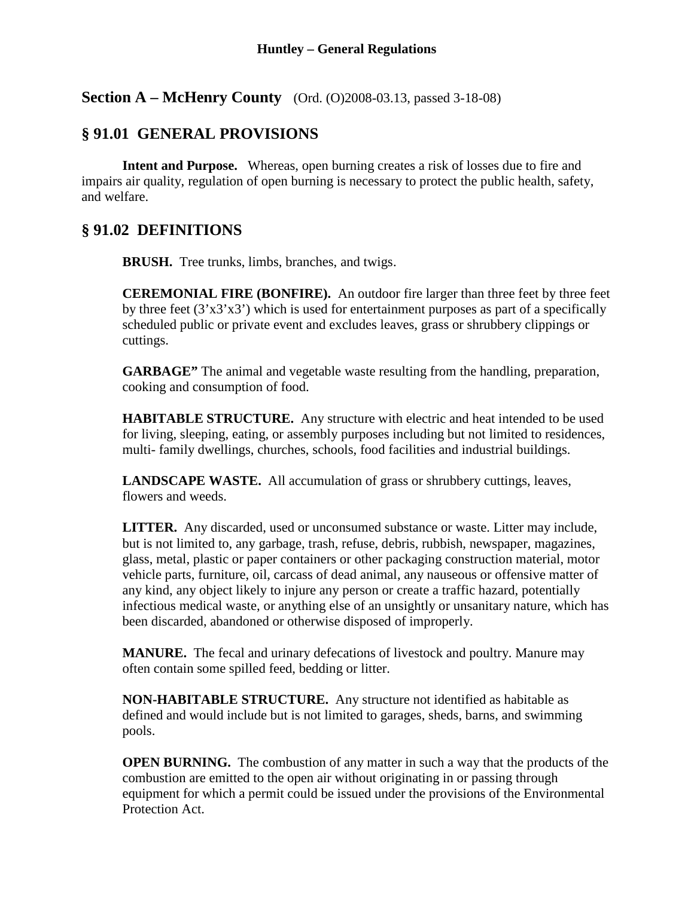**Section A – McHenry County** (Ord. (O)2008-03.13, passed 3-18-08)

# **§ 91.01 GENERAL PROVISIONS**

**Intent and Purpose.** Whereas, open burning creates a risk of losses due to fire and impairs air quality, regulation of open burning is necessary to protect the public health, safety, and welfare.

# **§ 91.02 DEFINITIONS**

**BRUSH.** Tree trunks, limbs, branches, and twigs.

**CEREMONIAL FIRE (BONFIRE).** An outdoor fire larger than three feet by three feet by three feet  $(3'x3'x3')$  which is used for entertainment purposes as part of a specifically scheduled public or private event and excludes leaves, grass or shrubbery clippings or cuttings.

**GARBAGE"** The animal and vegetable waste resulting from the handling, preparation, cooking and consumption of food.

**HABITABLE STRUCTURE.** Any structure with electric and heat intended to be used for living, sleeping, eating, or assembly purposes including but not limited to residences, multi- family dwellings, churches, schools, food facilities and industrial buildings.

**LANDSCAPE WASTE.** All accumulation of grass or shrubbery cuttings, leaves, flowers and weeds.

**LITTER.** Any discarded, used or unconsumed substance or waste. Litter may include, but is not limited to, any garbage, trash, refuse, debris, rubbish, newspaper, magazines, glass, metal, plastic or paper containers or other packaging construction material, motor vehicle parts, furniture, oil, carcass of dead animal, any nauseous or offensive matter of any kind, any object likely to injure any person or create a traffic hazard, potentially infectious medical waste, or anything else of an unsightly or unsanitary nature, which has been discarded, abandoned or otherwise disposed of improperly.

**MANURE.** The fecal and urinary defecations of livestock and poultry. Manure may often contain some spilled feed, bedding or litter.

**NON-HABITABLE STRUCTURE.** Any structure not identified as habitable as defined and would include but is not limited to garages, sheds, barns, and swimming pools.

**OPEN BURNING.** The combustion of any matter in such a way that the products of the combustion are emitted to the open air without originating in or passing through equipment for which a permit could be issued under the provisions of the Environmental Protection Act.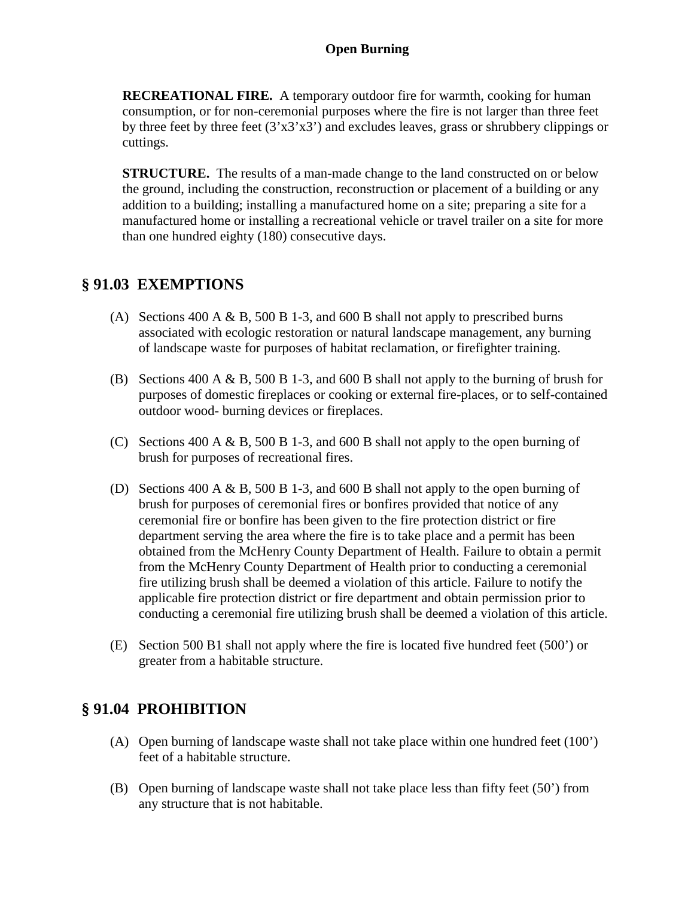**RECREATIONAL FIRE.** A temporary outdoor fire for warmth, cooking for human consumption, or for non-ceremonial purposes where the fire is not larger than three feet by three feet by three feet  $(3'x3'x3')$  and excludes leaves, grass or shrubbery clippings or cuttings.

**STRUCTURE.** The results of a man-made change to the land constructed on or below the ground, including the construction, reconstruction or placement of a building or any addition to a building; installing a manufactured home on a site; preparing a site for a manufactured home or installing a recreational vehicle or travel trailer on a site for more than one hundred eighty (180) consecutive days.

### **§ 91.03 EXEMPTIONS**

- (A) Sections 400 A & B, 500 B 1-3, and 600 B shall not apply to prescribed burns associated with ecologic restoration or natural landscape management, any burning of landscape waste for purposes of habitat reclamation, or firefighter training.
- (B) Sections 400 A & B, 500 B 1-3, and 600 B shall not apply to the burning of brush for purposes of domestic fireplaces or cooking or external fire-places, or to self-contained outdoor wood- burning devices or fireplaces.
- (C) Sections 400 A & B, 500 B 1-3, and 600 B shall not apply to the open burning of brush for purposes of recreational fires.
- (D) Sections 400 A & B, 500 B 1-3, and 600 B shall not apply to the open burning of brush for purposes of ceremonial fires or bonfires provided that notice of any ceremonial fire or bonfire has been given to the fire protection district or fire department serving the area where the fire is to take place and a permit has been obtained from the McHenry County Department of Health. Failure to obtain a permit from the McHenry County Department of Health prior to conducting a ceremonial fire utilizing brush shall be deemed a violation of this article. Failure to notify the applicable fire protection district or fire department and obtain permission prior to conducting a ceremonial fire utilizing brush shall be deemed a violation of this article.
- (E) Section 500 B1 shall not apply where the fire is located five hundred feet (500') or greater from a habitable structure.

# **§ 91.04 PROHIBITION**

- (A) Open burning of landscape waste shall not take place within one hundred feet (100') feet of a habitable structure.
- (B) Open burning of landscape waste shall not take place less than fifty feet (50') from any structure that is not habitable.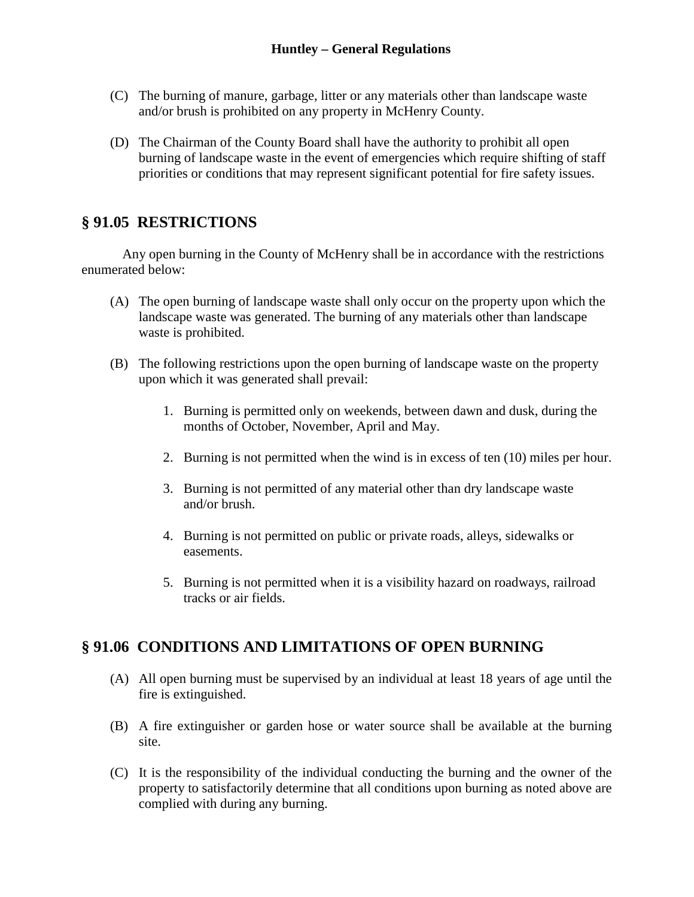- (C) The burning of manure, garbage, litter or any materials other than landscape waste and/or brush is prohibited on any property in McHenry County.
- (D) The Chairman of the County Board shall have the authority to prohibit all open burning of landscape waste in the event of emergencies which require shifting of staff priorities or conditions that may represent significant potential for fire safety issues.

# **§ 91.05 RESTRICTIONS**

Any open burning in the County of McHenry shall be in accordance with the restrictions enumerated below:

- (A) The open burning of landscape waste shall only occur on the property upon which the landscape waste was generated. The burning of any materials other than landscape waste is prohibited.
- (B) The following restrictions upon the open burning of landscape waste on the property upon which it was generated shall prevail:
	- 1. Burning is permitted only on weekends, between dawn and dusk, during the months of October, November, April and May.
	- 2. Burning is not permitted when the wind is in excess of ten (10) miles per hour.
	- 3. Burning is not permitted of any material other than dry landscape waste and/or brush.
	- 4. Burning is not permitted on public or private roads, alleys, sidewalks or easements.
	- 5. Burning is not permitted when it is a visibility hazard on roadways, railroad tracks or air fields.

# **§ 91.06 CONDITIONS AND LIMITATIONS OF OPEN BURNING**

- (A) All open burning must be supervised by an individual at least 18 years of age until the fire is extinguished.
- (B) A fire extinguisher or garden hose or water source shall be available at the burning site.
- (C) It is the responsibility of the individual conducting the burning and the owner of the property to satisfactorily determine that all conditions upon burning as noted above are complied with during any burning.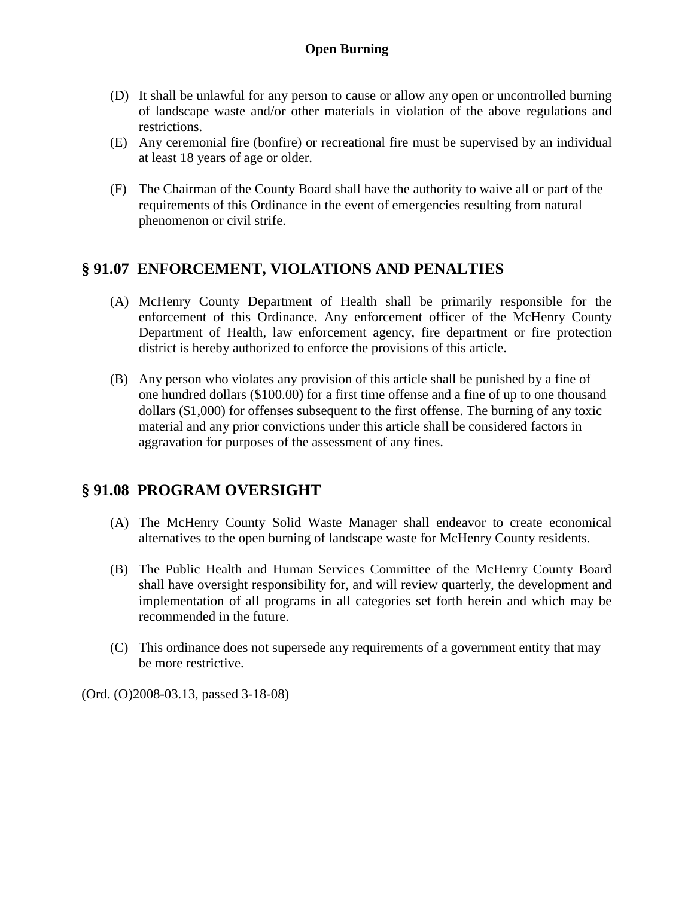- (D) It shall be unlawful for any person to cause or allow any open or uncontrolled burning of landscape waste and/or other materials in violation of the above regulations and restrictions.
- (E) Any ceremonial fire (bonfire) or recreational fire must be supervised by an individual at least 18 years of age or older.
- (F) The Chairman of the County Board shall have the authority to waive all or part of the requirements of this Ordinance in the event of emergencies resulting from natural phenomenon or civil strife.

# **§ 91.07 ENFORCEMENT, VIOLATIONS AND PENALTIES**

- (A) McHenry County Department of Health shall be primarily responsible for the enforcement of this Ordinance. Any enforcement officer of the McHenry County Department of Health, law enforcement agency, fire department or fire protection district is hereby authorized to enforce the provisions of this article.
- (B) Any person who violates any provision of this article shall be punished by a fine of one hundred dollars (\$100.00) for a first time offense and a fine of up to one thousand dollars (\$1,000) for offenses subsequent to the first offense. The burning of any toxic material and any prior convictions under this article shall be considered factors in aggravation for purposes of the assessment of any fines.

# **§ 91.08 PROGRAM OVERSIGHT**

- (A) The McHenry County Solid Waste Manager shall endeavor to create economical alternatives to the open burning of landscape waste for McHenry County residents.
- (B) The Public Health and Human Services Committee of the McHenry County Board shall have oversight responsibility for, and will review quarterly, the development and implementation of all programs in all categories set forth herein and which may be recommended in the future.
- (C) This ordinance does not supersede any requirements of a government entity that may be more restrictive.

(Ord. (O)2008-03.13, passed 3-18-08)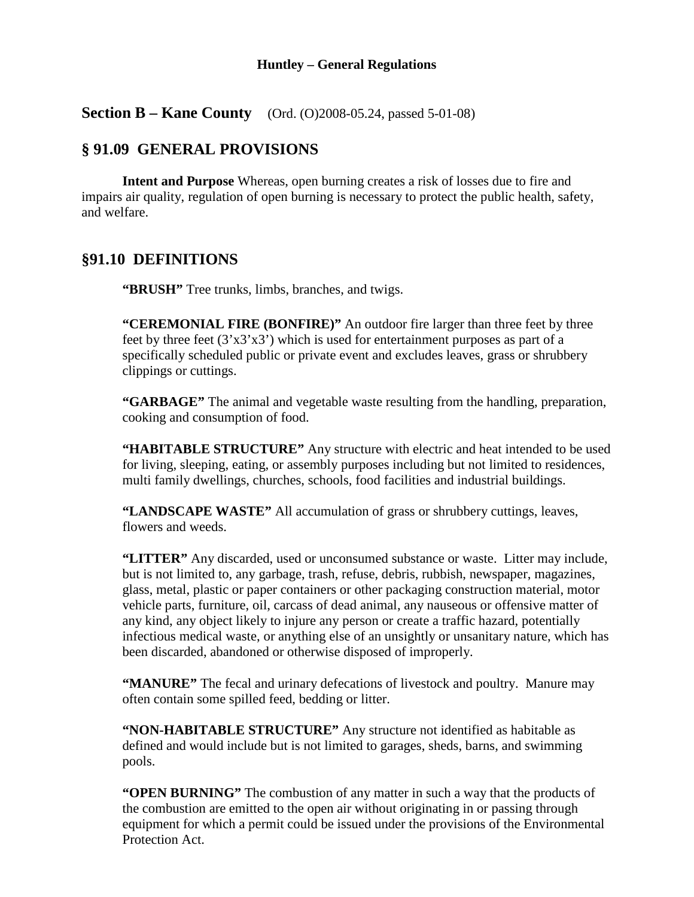#### **Huntley – General Regulations**

**Section B – Kane County** (Ord. (O)2008-05.24, passed 5-01-08)

### **§ 91.09 GENERAL PROVISIONS**

**Intent and Purpose** Whereas, open burning creates a risk of losses due to fire and impairs air quality, regulation of open burning is necessary to protect the public health, safety, and welfare.

### **§91.10 DEFINITIONS**

**"BRUSH"** Tree trunks, limbs, branches, and twigs.

**"CEREMONIAL FIRE (BONFIRE)"** An outdoor fire larger than three feet by three feet by three feet  $(3'x3'x3')$  which is used for entertainment purposes as part of a specifically scheduled public or private event and excludes leaves, grass or shrubbery clippings or cuttings.

**"GARBAGE"** The animal and vegetable waste resulting from the handling, preparation, cooking and consumption of food.

**"HABITABLE STRUCTURE"** Any structure with electric and heat intended to be used for living, sleeping, eating, or assembly purposes including but not limited to residences, multi family dwellings, churches, schools, food facilities and industrial buildings.

**"LANDSCAPE WASTE"** All accumulation of grass or shrubbery cuttings, leaves, flowers and weeds.

**"LITTER"** Any discarded, used or unconsumed substance or waste. Litter may include, but is not limited to, any garbage, trash, refuse, debris, rubbish, newspaper, magazines, glass, metal, plastic or paper containers or other packaging construction material, motor vehicle parts, furniture, oil, carcass of dead animal, any nauseous or offensive matter of any kind, any object likely to injure any person or create a traffic hazard, potentially infectious medical waste, or anything else of an unsightly or unsanitary nature, which has been discarded, abandoned or otherwise disposed of improperly.

**"MANURE"** The fecal and urinary defecations of livestock and poultry. Manure may often contain some spilled feed, bedding or litter.

**"NON-HABITABLE STRUCTURE"** Any structure not identified as habitable as defined and would include but is not limited to garages, sheds, barns, and swimming pools.

**"OPEN BURNING"** The combustion of any matter in such a way that the products of the combustion are emitted to the open air without originating in or passing through equipment for which a permit could be issued under the provisions of the Environmental Protection Act.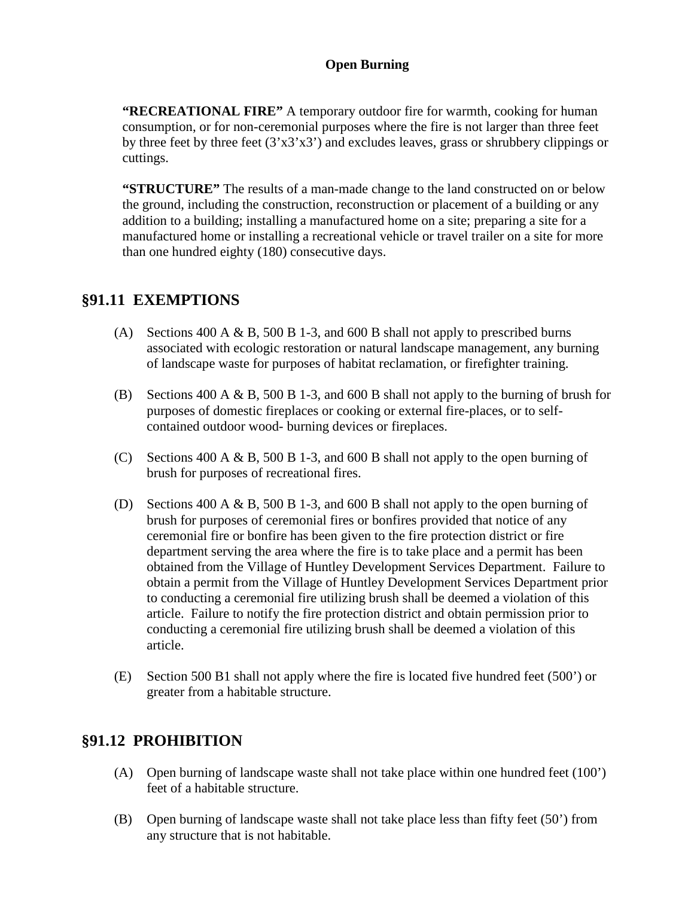**"RECREATIONAL FIRE"** A temporary outdoor fire for warmth, cooking for human consumption, or for non-ceremonial purposes where the fire is not larger than three feet by three feet by three feet  $(3'x3'x3')$  and excludes leaves, grass or shrubbery clippings or cuttings.

**"STRUCTURE"** The results of a man-made change to the land constructed on or below the ground, including the construction, reconstruction or placement of a building or any addition to a building; installing a manufactured home on a site; preparing a site for a manufactured home or installing a recreational vehicle or travel trailer on a site for more than one hundred eighty (180) consecutive days.

### **§91.11 EXEMPTIONS**

- (A) Sections 400 A & B, 500 B 1-3, and 600 B shall not apply to prescribed burns associated with ecologic restoration or natural landscape management, any burning of landscape waste for purposes of habitat reclamation, or firefighter training.
- (B) Sections 400 A & B, 500 B 1-3, and 600 B shall not apply to the burning of brush for purposes of domestic fireplaces or cooking or external fire-places, or to selfcontained outdoor wood- burning devices or fireplaces.
- (C) Sections 400 A  $\&$  B, 500 B 1-3, and 600 B shall not apply to the open burning of brush for purposes of recreational fires.
- (D) Sections 400 A & B, 500 B 1-3, and 600 B shall not apply to the open burning of brush for purposes of ceremonial fires or bonfires provided that notice of any ceremonial fire or bonfire has been given to the fire protection district or fire department serving the area where the fire is to take place and a permit has been obtained from the Village of Huntley Development Services Department. Failure to obtain a permit from the Village of Huntley Development Services Department prior to conducting a ceremonial fire utilizing brush shall be deemed a violation of this article. Failure to notify the fire protection district and obtain permission prior to conducting a ceremonial fire utilizing brush shall be deemed a violation of this article.
- (E) Section 500 B1 shall not apply where the fire is located five hundred feet (500') or greater from a habitable structure.

# **§91.12 PROHIBITION**

- (A) Open burning of landscape waste shall not take place within one hundred feet (100') feet of a habitable structure.
- (B) Open burning of landscape waste shall not take place less than fifty feet (50') from any structure that is not habitable.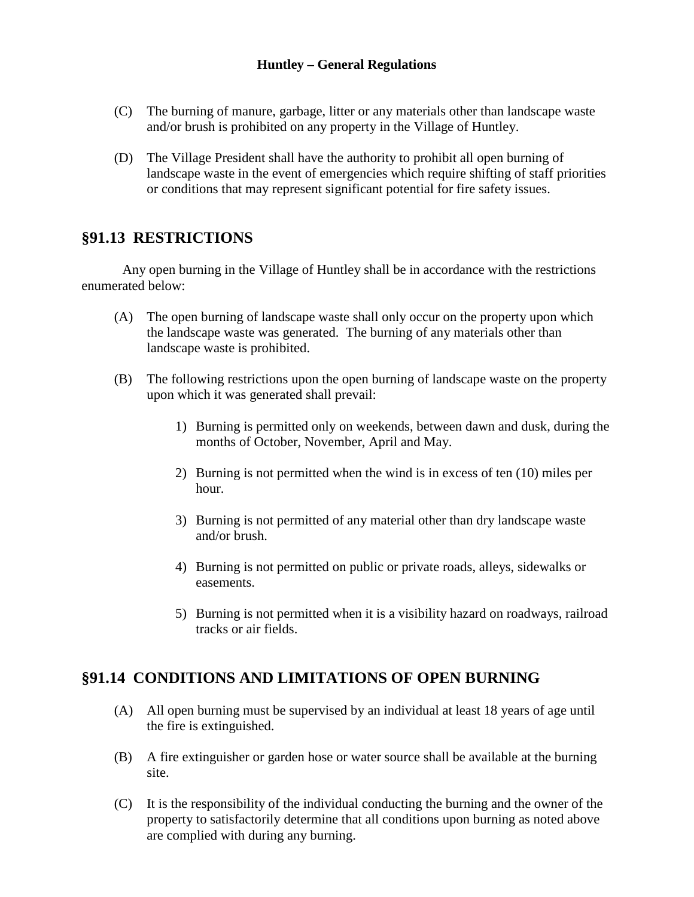#### **Huntley – General Regulations**

- (C) The burning of manure, garbage, litter or any materials other than landscape waste and/or brush is prohibited on any property in the Village of Huntley.
- (D) The Village President shall have the authority to prohibit all open burning of landscape waste in the event of emergencies which require shifting of staff priorities or conditions that may represent significant potential for fire safety issues.

### **§91.13 RESTRICTIONS**

Any open burning in the Village of Huntley shall be in accordance with the restrictions enumerated below:

- (A) The open burning of landscape waste shall only occur on the property upon which the landscape waste was generated. The burning of any materials other than landscape waste is prohibited.
- (B) The following restrictions upon the open burning of landscape waste on the property upon which it was generated shall prevail:
	- 1) Burning is permitted only on weekends, between dawn and dusk, during the months of October, November, April and May.
	- 2) Burning is not permitted when the wind is in excess of ten (10) miles per hour.
	- 3) Burning is not permitted of any material other than dry landscape waste and/or brush.
	- 4) Burning is not permitted on public or private roads, alleys, sidewalks or easements.
	- 5) Burning is not permitted when it is a visibility hazard on roadways, railroad tracks or air fields.

# **§91.14 CONDITIONS AND LIMITATIONS OF OPEN BURNING**

- (A) All open burning must be supervised by an individual at least 18 years of age until the fire is extinguished.
- (B) A fire extinguisher or garden hose or water source shall be available at the burning site.
- (C) It is the responsibility of the individual conducting the burning and the owner of the property to satisfactorily determine that all conditions upon burning as noted above are complied with during any burning.